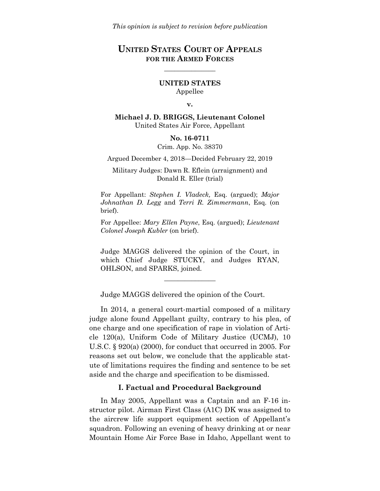# **UNITED STATES COURT OF APPEALS FOR THE ARMED FORCES**

\_\_\_\_\_\_\_\_\_\_\_\_\_\_\_

## **UNITED STATES** Appellee

#### **v.**

**Michael J. D. BRIGGS, Lieutenant Colonel** United States Air Force, Appellant

#### **No. 16-0711**

Crim. App. No. 38370

Argued December 4, 2018—Decided February 22, 2019

Military Judges: Dawn R. Eflein (arraignment) and Donald R. Eller (trial)

For Appellant: *Stephen I. Vladeck,* Esq. (argued); *Major Johnathan D. Legg* and *Terri R. Zimmermann*, Esq. (on brief).

For Appellee: *Mary Ellen Payne*, Esq. (argued); *Lieutenant Colonel Joseph Kubler* (on brief).

Judge MAGGS delivered the opinion of the Court, in which Chief Judge STUCKY, and Judges RYAN, OHLSON, and SPARKS, joined.

\_\_\_\_\_\_\_\_\_\_\_\_\_\_\_

Judge MAGGS delivered the opinion of the Court.

In 2014, a general court-martial composed of a military judge alone found Appellant guilty, contrary to his plea, of one charge and one specification of rape in violation of Article 120(a), Uniform Code of Military Justice (UCMJ), 10 U.S.C. § 920(a) (2000), for conduct that occurred in 2005. For reasons set out below, we conclude that the applicable statute of limitations requires the finding and sentence to be set aside and the charge and specification to be dismissed.

#### **I. Factual and Procedural Background**

In May 2005, Appellant was a Captain and an F-16 instructor pilot. Airman First Class (A1C) DK was assigned to the aircrew life support equipment section of Appellant's squadron. Following an evening of heavy drinking at or near Mountain Home Air Force Base in Idaho, Appellant went to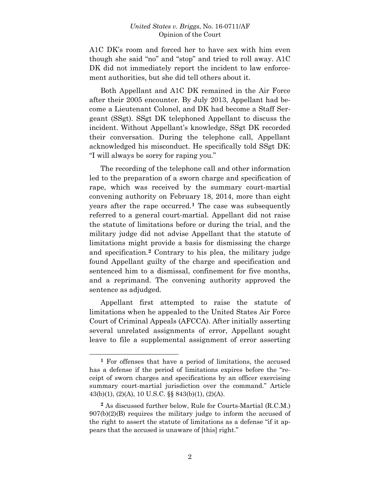A1C DK's room and forced her to have sex with him even though she said "no" and "stop" and tried to roll away. A1C DK did not immediately report the incident to law enforcement authorities, but she did tell others about it.

Both Appellant and A1C DK remained in the Air Force after their 2005 encounter. By July 2013, Appellant had become a Lieutenant Colonel, and DK had become a Staff Sergeant (SSgt). SSgt DK telephoned Appellant to discuss the incident. Without Appellant's knowledge, SSgt DK recorded their conversation. During the telephone call, Appellant acknowledged his misconduct. He specifically told SSgt DK: "I will always be sorry for raping you."

The recording of the telephone call and other information led to the preparation of a sworn charge and specification of rape, which was received by the summary court-martial convening authority on February 18, 2014, more than eight years after the rape occurred.**[1](#page-1-0)** The case was subsequently referred to a general court-martial. Appellant did not raise the statute of limitations before or during the trial, and the military judge did not advise Appellant that the statute of limitations might provide a basis for dismissing the charge and specification.**[2](#page-1-1)** Contrary to his plea, the military judge found Appellant guilty of the charge and specification and sentenced him to a dismissal, confinement for five months, and a reprimand. The convening authority approved the sentence as adjudged.

Appellant first attempted to raise the statute of limitations when he appealed to the United States Air Force Court of Criminal Appeals (AFCCA). After initially asserting several unrelated assignments of error, Appellant sought leave to file a supplemental assignment of error asserting

<span id="page-1-0"></span>**<sup>1</sup>** For offenses that have a period of limitations, the accused has a defense if the period of limitations expires before the "receipt of sworn charges and specifications by an officer exercising summary court-martial jurisdiction over the command." Article 43(b)(1), (2)(A), 10 U.S.C. §§ 843(b)(1), (2)(A).

<span id="page-1-1"></span>**<sup>2</sup>** As discussed further below, Rule for Courts-Martial (R.C.M.)  $907(b)(2)(B)$  requires the military judge to inform the accused of the right to assert the statute of limitations as a defense "if it appears that the accused is unaware of [this] right."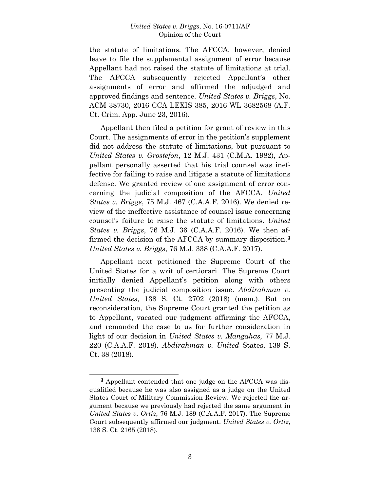the statute of limitations. The AFCCA, however, denied leave to file the supplemental assignment of error because Appellant had not raised the statute of limitations at trial. The AFCCA subsequently rejected Appellant's other assignments of error and affirmed the adjudged and approved findings and sentence. *United States v. Briggs*, No. ACM 38730, 2016 CCA LEXIS 385, 2016 WL 3682568 (A.F. Ct. Crim. App. June 23, 2016).

Appellant then filed a petition for grant of review in this Court. The assignments of error in the petition's supplement did not address the statute of limitations, but pursuant to *United States v. Grostefon*, 12 M.J. 431 (C.M.A. 1982), Appellant personally asserted that his trial counsel was ineffective for failing to raise and litigate a statute of limitations defense. We granted review of one assignment of error concerning the judicial composition of the AFCCA. *United States v. Briggs*, 75 M.J. 467 (C.A.A.F. 2016). We denied review of the ineffective assistance of counsel issue concerning counsel's failure to raise the statute of limitations. *United States v. Briggs*, 76 M.J. 36 (C.A.A.F. 2016). We then affirmed the decision of the AFCCA by summary disposition.**[3](#page-2-0)** *United States v. Briggs*, 76 M.J. 338 (C.A.A.F. 2017).

Appellant next petitioned the Supreme Court of the United States for a writ of certiorari. The Supreme Court initially denied Appellant's petition along with others presenting the judicial composition issue. *Abdirahman v. United States*, 138 S. Ct. 2702 (2018) (mem.). But on reconsideration, the Supreme Court granted the petition as to Appellant, vacated our judgment affirming the AFCCA, and remanded the case to us for further consideration in light of our decision in *United States v. Mangahas,* 77 M.J. 220 (C.A.A.F. 2018). *Abdirahman v. United* States, 139 S. Ct. 38 (2018).

<span id="page-2-0"></span>**<sup>3</sup>** Appellant contended that one judge on the AFCCA was disqualified because he was also assigned as a judge on the United States Court of Military Commission Review. We rejected the argument because we previously had rejected the same argument in *United States v. Ortiz*, 76 M.J. 189 (C.A.A.F. 2017). The Supreme Court subsequently affirmed our judgment. *United States v. Ortiz*, 138 S. Ct. 2165 (2018).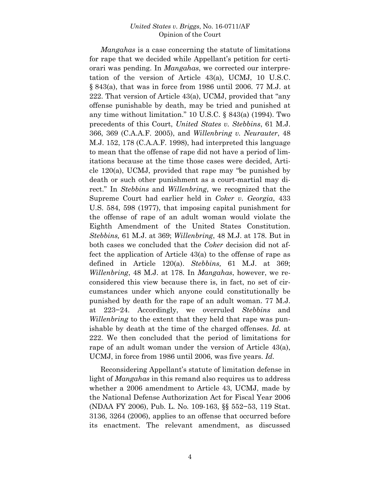*Mangahas* is a case concerning the statute of limitations for rape that we decided while Appellant's petition for certiorari was pending. In *Mangahas*, we corrected our interpretation of the version of Article 43(a), UCMJ, 10 U.S.C. § 843(a), that was in force from 1986 until 2006. 77 M.J. at 222. That version of Article 43(a), UCMJ, provided that "any offense punishable by death, may be tried and punished at any time without limitation." 10 U.S.C. § 843(a) (1994). Two precedents of this Court, *United States v. Stebbins*, 61 M.J. 366, 369 (C.A.A.F. 2005), and *Willenbring v. Neurauter*, 48 M.J. 152, 178 (C.A.A.F. 1998), had interpreted this language to mean that the offense of rape did not have a period of limitations because at the time those cases were decided, Article 120(a), UCMJ, provided that rape may "be punished by death or such other punishment as a court-martial may direct." In *Stebbins* and *Willenbring*, we recognized that the Supreme Court had earlier held in *Coker v. Georgia*, 433 U.S. 584, 598 (1977), that imposing capital punishment for the offense of rape of an adult woman would violate the Eighth Amendment of the United States Constitution. *Stebbins,* 61 M.J. at 369; *Willenbring*, 48 M.J. at 178. But in both cases we concluded that the *Coker* decision did not affect the application of Article 43(a) to the offense of rape as defined in Article 120(a). *Stebbins,* 61 M.J. at 369; *Willenbring*, 48 M.J. at 178. In *Mangahas*, however, we reconsidered this view because there is, in fact, no set of circumstances under which anyone could constitutionally be punished by death for the rape of an adult woman. 77 M.J. at 223−24. Accordingly, we overruled *Stebbins* and *Willenbring* to the extent that they held that rape was punishable by death at the time of the charged offenses. *Id.* at 222. We then concluded that the period of limitations for rape of an adult woman under the version of Article 43(a), UCMJ, in force from 1986 until 2006, was five years. *Id.*

Reconsidering Appellant's statute of limitation defense in light of *Mangahas* in this remand also requires us to address whether a 2006 amendment to Article 43, UCMJ, made by the National Defense Authorization Act for Fiscal Year 2006 (NDAA FY 2006), Pub. L. No. 109-163, §§ 552−53, 119 Stat. 3136, 3264 (2006), applies to an offense that occurred before its enactment. The relevant amendment, as discussed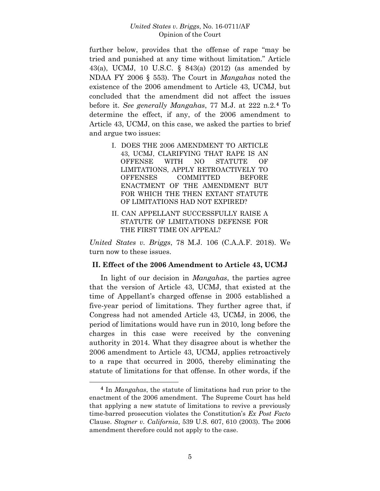further below, provides that the offense of rape "may be tried and punished at any time without limitation." Article 43(a), UCMJ, 10 U.S.C. § 843(a) (2012) (as amended by NDAA FY 2006 § 553). The Court in *Mangahas* noted the existence of the 2006 amendment to Article 43, UCMJ, but concluded that the amendment did not affect the issues before it. *See generally Mangahas*, 77 M.J. at 222 n.2.**[4](#page-4-0)** To determine the effect, if any, of the 2006 amendment to Article 43, UCMJ, on this case, we asked the parties to brief and argue two issues:

- I. DOES THE 2006 AMENDMENT TO ARTICLE 43, UCMJ, CLARIFYING THAT RAPE IS AN OFFENSE WITH NO STATUTE OF LIMITATIONS, APPLY RETROACTIVELY TO OFFENSES COMMITTED BEFORE ENACTMENT OF THE AMENDMENT BUT FOR WHICH THE THEN EXTANT STATUTE OF LIMITATIONS HAD NOT EXPIRED?
- II. CAN APPELLANT SUCCESSFULLY RAISE A STATUTE OF LIMITATIONS DEFENSE FOR THE FIRST TIME ON APPEAL?

*United States v. Briggs*, 78 M.J. 106 (C.A.A.F. 2018). We turn now to these issues.

# **II. Effect of the 2006 Amendment to Article 43, UCMJ**

In light of our decision in *Mangahas*, the parties agree that the version of Article 43, UCMJ, that existed at the time of Appellant's charged offense in 2005 established a five-year period of limitations. They further agree that, if Congress had not amended Article 43, UCMJ, in 2006, the period of limitations would have run in 2010, long before the charges in this case were received by the convening authority in 2014. What they disagree about is whether the 2006 amendment to Article 43, UCMJ, applies retroactively to a rape that occurred in 2005, thereby eliminating the statute of limitations for that offense. In other words, if the

<span id="page-4-0"></span>**<sup>4</sup>** In *Mangahas*, the statute of limitations had run prior to the enactment of the 2006 amendment. The Supreme Court has held that applying a new statute of limitations to revive a previously time-barred prosecution violates the Constitution's *Ex Post Facto* Clause. *Stogner v. California*, 539 U.S. 607, 610 (2003). The 2006 amendment therefore could not apply to the case.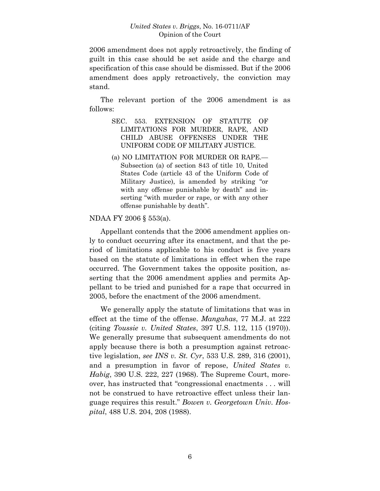2006 amendment does not apply retroactively, the finding of guilt in this case should be set aside and the charge and specification of this case should be dismissed. But if the 2006 amendment does apply retroactively, the conviction may stand.

The relevant portion of the 2006 amendment is as follows:

- SEC. 553. EXTENSION OF STATUTE OF LIMITATIONS FOR MURDER, RAPE, AND CHILD ABUSE OFFENSES UNDER THE UNIFORM CODE OF MILITARY JUSTICE.
- (a) NO LIMITATION FOR MURDER OR RAPE.— Subsection (a) of section 843 of title 10, United States Code (article 43 of the Uniform Code of Military Justice), is amended by striking "or with any offense punishable by death" and inserting "with murder or rape, or with any other offense punishable by death".

## NDAA FY 2006 § 553(a).

Appellant contends that the 2006 amendment applies only to conduct occurring after its enactment, and that the period of limitations applicable to his conduct is five years based on the statute of limitations in effect when the rape occurred. The Government takes the opposite position, asserting that the 2006 amendment applies and permits Appellant to be tried and punished for a rape that occurred in 2005, before the enactment of the 2006 amendment.

We generally apply the statute of limitations that was in effect at the time of the offense. *Mangahas*, 77 M.J. at 222 (citing *Toussie v. United States*, 397 U.S. 112, 115 (1970)). We generally presume that subsequent amendments do not apply because there is both a presumption against retroactive legislation, *see INS v. St. Cyr*, 533 U.S. 289, 316 (2001), and a presumption in favor of repose, *United States v. Habig*, 390 U.S. 222, 227 (1968). The Supreme Court, moreover, has instructed that "congressional enactments . . . will not be construed to have retroactive effect unless their language requires this result." *Bowen v. Georgetown Univ. Hospital*, 488 U.S. 204, 208 (1988).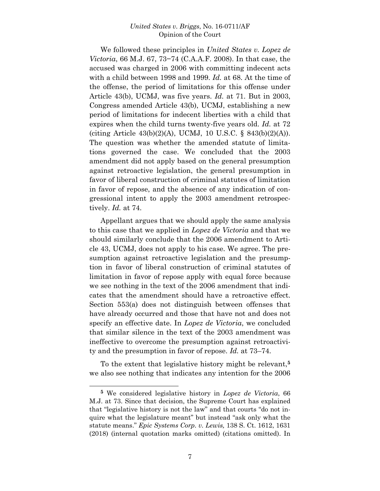We followed these principles in *United States v. Lopez de Victoria*, 66 M.J. 67, 73−74 (C.A.A.F. 2008). In that case, the accused was charged in 2006 with committing indecent acts with a child between 1998 and 1999. *Id.* at 68. At the time of the offense, the period of limitations for this offense under Article 43(b), UCMJ, was five years. *Id.* at 71. But in 2003, Congress amended Article 43(b), UCMJ, establishing a new period of limitations for indecent liberties with a child that expires when the child turns twenty-five years old. *Id.* at 72 (citing Article  $43(b)(2)(A)$ , UCMJ, 10 U.S.C. §  $843(b)(2)(A)$ ). The question was whether the amended statute of limitations governed the case. We concluded that the 2003 amendment did not apply based on the general presumption against retroactive legislation, the general presumption in favor of liberal construction of criminal statutes of limitation in favor of repose, and the absence of any indication of congressional intent to apply the 2003 amendment retrospectively. *Id.* at 74.

Appellant argues that we should apply the same analysis to this case that we applied in *Lopez de Victoria* and that we should similarly conclude that the 2006 amendment to Article 43, UCMJ, does not apply to his case. We agree. The presumption against retroactive legislation and the presumption in favor of liberal construction of criminal statutes of limitation in favor of repose apply with equal force because we see nothing in the text of the 2006 amendment that indicates that the amendment should have a retroactive effect. Section 553(a) does not distinguish between offenses that have already occurred and those that have not and does not specify an effective date. In *Lopez de Victoria*, we concluded that similar silence in the text of the 2003 amendment was ineffective to overcome the presumption against retroactivity and the presumption in favor of repose. *Id.* at 73–74.

To the extent that legislative history might be relevant,**[5](#page-6-0)** we also see nothing that indicates any intention for the 2006

<span id="page-6-0"></span>**<sup>5</sup>** We considered legislative history in *Lopez de Victoria*, 66 M.J. at 73. Since that decision, the Supreme Court has explained that "legislative history is not the law" and that courts "do not inquire what the legislature meant" but instead "ask only what the statute means." *Epic Systems Corp. v. Lewis,* 138 S. Ct. 1612, 1631 (2018) (internal quotation marks omitted) (citations omitted). In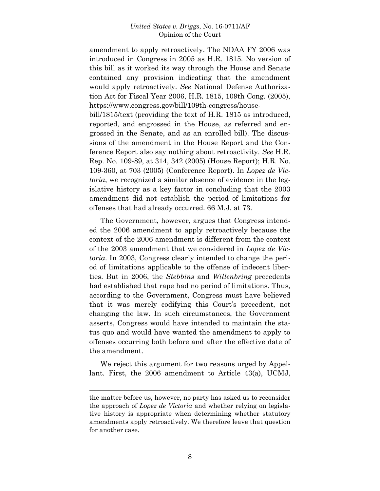amendment to apply retroactively. The NDAA FY 2006 was introduced in Congress in 2005 as H.R. 1815. No version of this bill as it worked its way through the House and Senate contained any provision indicating that the amendment would apply retroactively. *See* National Defense Authorization Act for Fiscal Year 2006, H.R. 1815, 109th Cong. (2005), https://www.congress.gov/bill/109th-congress/house-

bill/1815/text (providing the text of H.R. 1815 as introduced, reported, and engrossed in the House, as referred and engrossed in the Senate, and as an enrolled bill). The discussions of the amendment in the House Report and the Conference Report also say nothing about retroactivity. *See* H.R. Rep. No. 109-89, at 314, 342 (2005) (House Report); H.R. No. 109-360, at 703 (2005) (Conference Report). In *Lopez de Victoria*, we recognized a similar absence of evidence in the legislative history as a key factor in concluding that the 2003 amendment did not establish the period of limitations for offenses that had already occurred. 66 M.J. at 73.

The Government, however, argues that Congress intended the 2006 amendment to apply retroactively because the context of the 2006 amendment is different from the context of the 2003 amendment that we considered in *Lopez de Victoria*. In 2003, Congress clearly intended to change the period of limitations applicable to the offense of indecent liberties. But in 2006, the *Stebbins* and *Willenbring* precedents had established that rape had no period of limitations. Thus, according to the Government, Congress must have believed that it was merely codifying this Court's precedent, not changing the law. In such circumstances, the Government asserts, Congress would have intended to maintain the status quo and would have wanted the amendment to apply to offenses occurring both before and after the effective date of the amendment.

We reject this argument for two reasons urged by Appellant. First, the 2006 amendment to Article 43(a), UCMJ,

the matter before us, however, no party has asked us to reconsider the approach of *Lopez de Victoria* and whether relying on legislative history is appropriate when determining whether statutory amendments apply retroactively. We therefore leave that question for another case.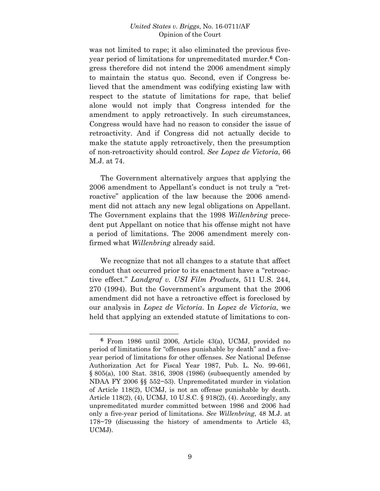was not limited to rape; it also eliminated the previous fiveyear period of limitations for unpremeditated murder.**[6](#page-8-0)** Congress therefore did not intend the 2006 amendment simply to maintain the status quo. Second, even if Congress believed that the amendment was codifying existing law with respect to the statute of limitations for rape, that belief alone would not imply that Congress intended for the amendment to apply retroactively. In such circumstances, Congress would have had no reason to consider the issue of retroactivity. And if Congress did not actually decide to make the statute apply retroactively, then the presumption of non-retroactivity should control. *See Lopez de Victoria*, 66 M.J. at 74.

The Government alternatively argues that applying the 2006 amendment to Appellant's conduct is not truly a "retroactive" application of the law because the 2006 amendment did not attach any new legal obligations on Appellant. The Government explains that the 1998 *Willenbring* precedent put Appellant on notice that his offense might not have a period of limitations. The 2006 amendment merely confirmed what *Willenbring* already said.

We recognize that not all changes to a statute that affect conduct that occurred prior to its enactment have a "retroactive effect." *Landgraf v. USI Film Products*, 511 U.S. 244, 270 (1994). But the Government's argument that the 2006 amendment did not have a retroactive effect is foreclosed by our analysis in *Lopez de Victoria*. In *Lopez de Victoria*, we held that applying an extended statute of limitations to con-

<span id="page-8-0"></span>**<sup>6</sup>** From 1986 until 2006, Article 43(a), UCMJ, provided no period of limitations for "offenses punishable by death" and a fiveyear period of limitations for other offenses. *See* National Defense Authorization Act for Fiscal Year 1987, Pub. L. No. 99-661, § 805(a), 100 Stat. 3816, 3908 (1986) (subsequently amended by NDAA FY 2006 §§ 552−53). Unpremeditated murder in violation of Article 118(2), UCMJ, is not an offense punishable by death. Article 118(2), (4), UCMJ, 10 U.S.C. § 918(2), (4). Accordingly, any unpremeditated murder committed between 1986 and 2006 had only a five-year period of limitations. *See Willenbring*, 48 M.J. at 178−79 (discussing the history of amendments to Article 43, UCMJ).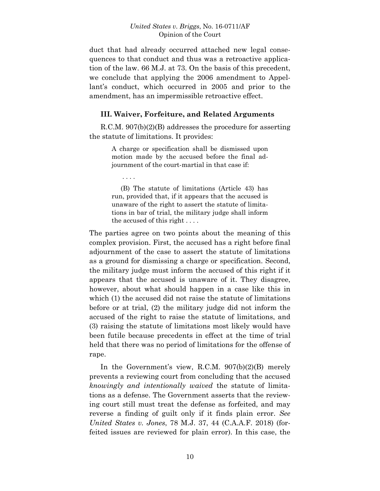duct that had already occurred attached new legal consequences to that conduct and thus was a retroactive application of the law. 66 M.J. at 73. On the basis of this precedent, we conclude that applying the 2006 amendment to Appellant's conduct, which occurred in 2005 and prior to the amendment, has an impermissible retroactive effect.

#### **III. Waiver, Forfeiture, and Related Arguments**

R.C.M. 907(b)(2)(B) addresses the procedure for asserting the statute of limitations. It provides:

> A charge or specification shall be dismissed upon motion made by the accused before the final adjournment of the court-martial in that case if:

. . . .

 (B) The statute of limitations (Article 43) has run, provided that, if it appears that the accused is unaware of the right to assert the statute of limitations in bar of trial, the military judge shall inform the accused of this right . . . .

The parties agree on two points about the meaning of this complex provision. First, the accused has a right before final adjournment of the case to assert the statute of limitations as a ground for dismissing a charge or specification. Second, the military judge must inform the accused of this right if it appears that the accused is unaware of it. They disagree, however, about what should happen in a case like this in which (1) the accused did not raise the statute of limitations before or at trial, (2) the military judge did not inform the accused of the right to raise the statute of limitations, and (3) raising the statute of limitations most likely would have been futile because precedents in effect at the time of trial held that there was no period of limitations for the offense of rape.

In the Government's view, R.C.M. 907(b)(2)(B) merely prevents a reviewing court from concluding that the accused *knowingly and intentionally waived* the statute of limitations as a defense. The Government asserts that the reviewing court still must treat the defense as forfeited, and may reverse a finding of guilt only if it finds plain error. *See United States v. Jones*, 78 M.J. 37, 44 (C.A.A.F. 2018) (forfeited issues are reviewed for plain error). In this case, the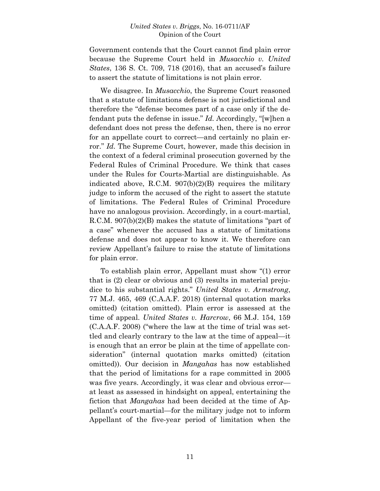Government contends that the Court cannot find plain error because the Supreme Court held in *Musacchio v. United States*, 136 S. Ct. 709, 718 (2016), that an accused's failure to assert the statute of limitations is not plain error.

We disagree. In *Musacchio*, the Supreme Court reasoned that a statute of limitations defense is not jurisdictional and therefore the "defense becomes part of a case only if the defendant puts the defense in issue." *Id.* Accordingly, "[w]hen a defendant does not press the defense, then, there is no error for an appellate court to correct—and certainly no plain error." *Id.* The Supreme Court, however, made this decision in the context of a federal criminal prosecution governed by the Federal Rules of Criminal Procedure. We think that cases under the Rules for Courts-Martial are distinguishable. As indicated above, R.C.M.  $907(b)(2)(B)$  requires the military judge to inform the accused of the right to assert the statute of limitations. The Federal Rules of Criminal Procedure have no analogous provision. Accordingly, in a court-martial, R.C.M. 907(b)(2)(B) makes the statute of limitations "part of a case" whenever the accused has a statute of limitations defense and does not appear to know it. We therefore can review Appellant's failure to raise the statute of limitations for plain error.

To establish plain error, Appellant must show "(1) error that is (2) clear or obvious and (3) results in material prejudice to his substantial rights." *United States v. Armstrong*, 77 M.J. 465, 469 (C.A.A.F. 2018) (internal quotation marks omitted) (citation omitted). Plain error is assessed at the time of appeal. *United States v. Harcrow*, 66 M.J. 154, 159 (C.A.A.F. 2008) ("where the law at the time of trial was settled and clearly contrary to the law at the time of appeal—it is enough that an error be plain at the time of appellate consideration" (internal quotation marks omitted) (citation omitted)). Our decision in *Mangahas* has now established that the period of limitations for a rape committed in 2005 was five years. Accordingly, it was clear and obvious error at least as assessed in hindsight on appeal, entertaining the fiction that *Mangahas* had been decided at the time of Appellant's court-martial—for the military judge not to inform Appellant of the five-year period of limitation when the